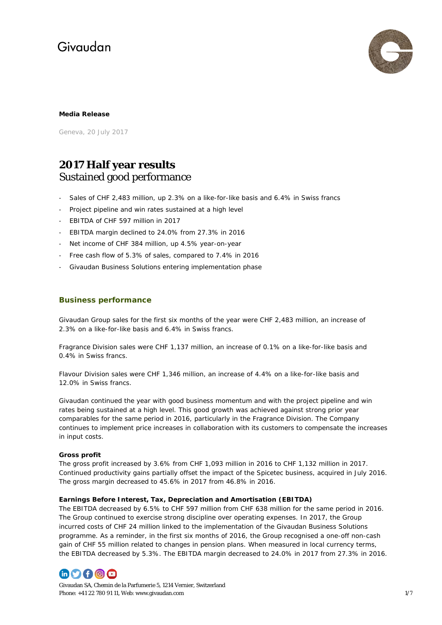

## **Media Release**

Geneva, 20 July 2017

## **2017 Half year results** Sustained good performance

- Sales of CHF 2,483 million, up 2.3% on a like-for-like basis and 6.4% in Swiss francs
- Project pipeline and win rates sustained at a high level
- EBITDA of CHF 597 million in 2017
- EBITDA margin declined to 24.0% from 27.3% in 2016
- Net income of CHF 384 million, up 4.5% year-on-year
- Free cash flow of 5.3% of sales, compared to 7.4% in 2016
- Givaudan Business Solutions entering implementation phase

## **Business performance**

Givaudan Group sales for the first six months of the year were CHF 2,483 million, an increase of 2.3% on a like-for-like basis and 6.4% in Swiss francs.

Fragrance Division sales were CHF 1,137 million, an increase of 0.1% on a like-for-like basis and 0.4% in Swiss francs.

Flavour Division sales were CHF 1,346 million, an increase of 4.4% on a like-for-like basis and 12.0% in Swiss francs.

Givaudan continued the year with good business momentum and with the project pipeline and win rates being sustained at a high level. This good growth was achieved against strong prior year comparables for the same period in 2016, particularly in the Fragrance Division. The Company continues to implement price increases in collaboration with its customers to compensate the increases in input costs.

### **Gross profit**

The gross profit increased by 3.6% from CHF 1,093 million in 2016 to CHF 1,132 million in 2017. Continued productivity gains partially offset the impact of the Spicetec business, acquired in July 2016. The gross margin decreased to 45.6% in 2017 from 46.8% in 2016.

### **Earnings Before Interest, Tax, Depreciation and Amortisation (EBITDA)**

The EBITDA decreased by 6.5% to CHF 597 million from CHF 638 million for the same period in 2016. The Group continued to exercise strong discipline over operating expenses. In 2017, the Group incurred costs of CHF 24 million linked to the implementation of the Givaudan Business Solutions programme. As a reminder, in the first six months of 2016, the Group recognised a one-off non-cash gain of CHF 55 million related to changes in pension plans. When measured in local currency terms, the EBITDA decreased by 5.3%. The EBITDA margin decreased to 24.0% in 2017 from 27.3% in 2016.



Givaudan SA, Chemin de la Parfumerie 5, 1214 Vernier, Switzerland Phone: +41 22 780 91 11, Web[: www.givaudan.com](http://www.givaudan.com/) 1/7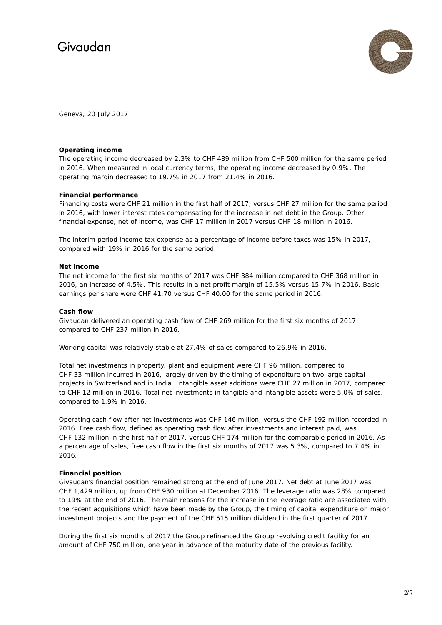

Geneva, 20 July 2017

### **Operating income**

The operating income decreased by 2.3% to CHF 489 million from CHF 500 million for the same period in 2016. When measured in local currency terms, the operating income decreased by 0.9%. The operating margin decreased to 19.7% in 2017 from 21.4% in 2016.

#### **Financial performance**

Financing costs were CHF 21 million in the first half of 2017, versus CHF 27 million for the same period in 2016, with lower interest rates compensating for the increase in net debt in the Group. Other financial expense, net of income, was CHF 17 million in 2017 versus CHF 18 million in 2016.

The interim period income tax expense as a percentage of income before taxes was 15% in 2017, compared with 19% in 2016 for the same period.

#### **Net income**

The net income for the first six months of 2017 was CHF 384 million compared to CHF 368 million in 2016, an increase of 4.5%. This results in a net profit margin of 15.5% versus 15.7% in 2016. Basic earnings per share were CHF 41.70 versus CHF 40.00 for the same period in 2016.

### **Cash flow**

Givaudan delivered an operating cash flow of CHF 269 million for the first six months of 2017 compared to CHF 237 million in 2016.

Working capital was relatively stable at 27.4% of sales compared to 26.9% in 2016.

Total net investments in property, plant and equipment were CHF 96 million, compared to CHF 33 million incurred in 2016, largely driven by the timing of expenditure on two large capital projects in Switzerland and in India. Intangible asset additions were CHF 27 million in 2017, compared to CHF 12 million in 2016. Total net investments in tangible and intangible assets were 5.0% of sales, compared to 1.9% in 2016.

Operating cash flow after net investments was CHF 146 million, versus the CHF 192 million recorded in 2016. Free cash flow, defined as operating cash flow after investments and interest paid, was CHF 132 million in the first half of 2017, versus CHF 174 million for the comparable period in 2016. As a percentage of sales, free cash flow in the first six months of 2017 was 5.3%, compared to 7.4% in 2016.

### **Financial position**

Givaudan's financial position remained strong at the end of June 2017. Net debt at June 2017 was CHF 1,429 million, up from CHF 930 million at December 2016. The leverage ratio was 28% compared to 19% at the end of 2016. The main reasons for the increase in the leverage ratio are associated with the recent acquisitions which have been made by the Group, the timing of capital expenditure on major investment projects and the payment of the CHF 515 million dividend in the first quarter of 2017.

During the first six months of 2017 the Group refinanced the Group revolving credit facility for an amount of CHF 750 million, one year in advance of the maturity date of the previous facility.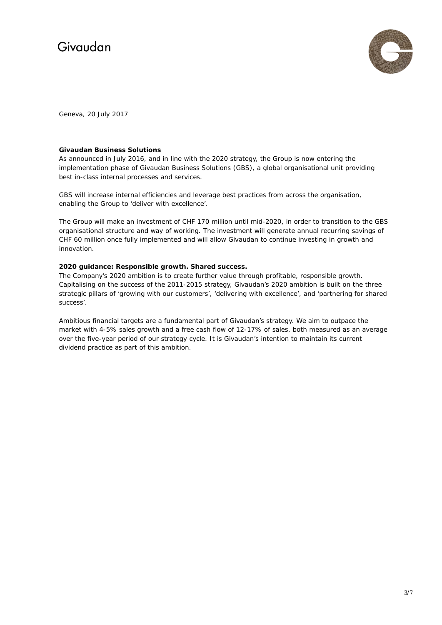

Geneva, 20 July 2017

## **Givaudan Business Solutions**

As announced in July 2016, and in line with the 2020 strategy, the Group is now entering the implementation phase of Givaudan Business Solutions (GBS), a global organisational unit providing best in-class internal processes and services.

GBS will increase internal efficiencies and leverage best practices from across the organisation, enabling the Group to 'deliver with excellence'.

The Group will make an investment of CHF 170 million until mid-2020, in order to transition to the GBS organisational structure and way of working. The investment will generate annual recurring savings of CHF 60 million once fully implemented and will allow Givaudan to continue investing in growth and innovation.

## **2020 guidance: Responsible growth. Shared success.**

The Company's 2020 ambition is to create further value through profitable, responsible growth. Capitalising on the success of the 2011-2015 strategy, Givaudan's 2020 ambition is built on the three strategic pillars of 'growing with our customers', 'delivering with excellence', and 'partnering for shared success'.

Ambitious financial targets are a fundamental part of Givaudan's strategy. We aim to outpace the market with 4-5% sales growth and a free cash flow of 12-17% of sales, both measured as an average over the five-year period of our strategy cycle. It is Givaudan's intention to maintain its current dividend practice as part of this ambition.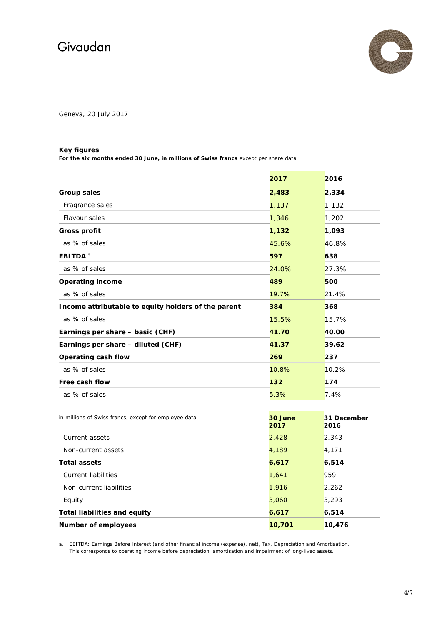

Geneva, 20 July 2017

## **Key figures**

**For the six months ended 30 June, in millions of Swiss francs** except per share data

|                                                       | 2017            | 2016                |  |  |  |
|-------------------------------------------------------|-----------------|---------------------|--|--|--|
| <b>Group sales</b>                                    | 2,483           | 2,334               |  |  |  |
| Fragrance sales                                       | 1,137           | 1,132               |  |  |  |
| Flavour sales                                         | 1,346           | 1,202               |  |  |  |
| <b>Gross profit</b>                                   | 1,132           | 1,093               |  |  |  |
| as % of sales                                         | 45.6%           | 46.8%               |  |  |  |
| EBITDA <sup>a</sup>                                   | 597<br>638      |                     |  |  |  |
| as % of sales                                         | 24.0%           | 27.3%               |  |  |  |
| <b>Operating income</b>                               | 489             | 500                 |  |  |  |
| as % of sales                                         | 19.7%           | 21.4%               |  |  |  |
| Income attributable to equity holders of the parent   | 384             | 368                 |  |  |  |
| as % of sales                                         | 15.5%           | 15.7%               |  |  |  |
| Earnings per share - basic (CHF)                      | 41.70           | 40.00               |  |  |  |
| Earnings per share - diluted (CHF)                    | 41.37           | 39.62               |  |  |  |
| Operating cash flow                                   | 269             | 237                 |  |  |  |
| as % of sales                                         | 10.8%           | 10.2%               |  |  |  |
| Free cash flow                                        | 132             | 174                 |  |  |  |
| as % of sales                                         | 5.3%            | 7.4%                |  |  |  |
|                                                       |                 |                     |  |  |  |
| in millions of Swiss francs, except for employee data | 30 June<br>2017 | 31 December<br>2016 |  |  |  |
| Current assets                                        | 2.428           | 2.343               |  |  |  |

| Number of employees                 | 10,701 | 6,514<br>10,476 |  |
|-------------------------------------|--------|-----------------|--|
| <b>Total liabilities and equity</b> | 6,617  |                 |  |
| Equity                              | 3,060  | 3,293           |  |
| Non-current liabilities             | 1,916  | 2,262           |  |
| Current liabilities                 | 1,641  | 959             |  |
| <b>Total assets</b>                 | 6,617  | 6,514           |  |
| Non-current assets                  | 4,189  | 4,171           |  |
| Current assets                      | 2,428  | 2,343           |  |
|                                     |        |                 |  |

a. EBITDA: Earnings Before Interest (and other financial income (expense), net), Tax, Depreciation and Amortisation. This corresponds to operating income before depreciation, amortisation and impairment of long-lived assets.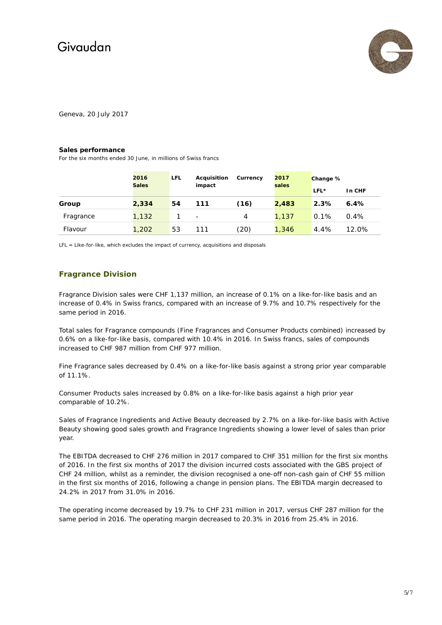

Geneva, 20 July 2017

#### **Sales performance**

For the six months ended 30 June, in millions of Swiss francs

|           | 2016         | LFL | Acquisition              | Currency | 2017<br>sales | Change % |        |
|-----------|--------------|-----|--------------------------|----------|---------------|----------|--------|
|           | <b>Sales</b> |     | impact                   |          |               | $LFL*$   | In CHF |
| Group     | 2,334        | 54  | 111                      | (16)     | 2,483         | 2.3%     | 6.4%   |
| Fragrance | 1,132        |     | $\overline{\phantom{a}}$ | 4        | 1.137         | 0.1%     | 0.4%   |
| Flavour   | 1,202        | 53  | 111                      | (20)     | 1,346         | 4.4%     | 12.0%  |

LFL = Like-for-like, which excludes the impact of currency, acquisitions and disposals

## **Fragrance Division**

Fragrance Division sales were CHF 1,137 million, an increase of 0.1% on a like-for-like basis and an increase of 0.4% in Swiss francs, compared with an increase of 9.7% and 10.7% respectively for the same period in 2016.

Total sales for Fragrance compounds (Fine Fragrances and Consumer Products combined) increased by 0.6% on a like-for-like basis, compared with 10.4% in 2016. In Swiss francs, sales of compounds increased to CHF 987 million from CHF 977 million.

Fine Fragrance sales decreased by 0.4% on a like-for-like basis against a strong prior year comparable of 11.1%.

Consumer Products sales increased by 0.8% on a like-for-like basis against a high prior year comparable of 10.2%.

Sales of Fragrance Ingredients and Active Beauty decreased by 2.7% on a like-for-like basis with Active Beauty showing good sales growth and Fragrance Ingredients showing a lower level of sales than prior year.

The EBITDA decreased to CHF 276 million in 2017 compared to CHF 351 million for the first six months of 2016. In the first six months of 2017 the division incurred costs associated with the GBS project of CHF 24 million, whilst as a reminder, the division recognised a one-off non-cash gain of CHF 55 million in the first six months of 2016, following a change in pension plans. The EBITDA margin decreased to 24.2% in 2017 from 31.0% in 2016.

The operating income decreased by 19.7% to CHF 231 million in 2017, versus CHF 287 million for the same period in 2016. The operating margin decreased to 20.3% in 2016 from 25.4% in 2016.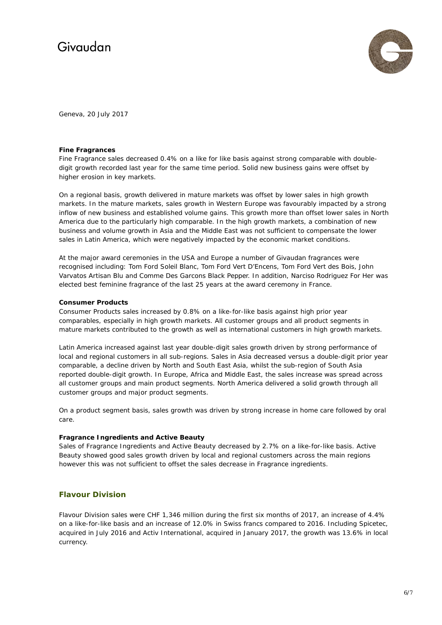

Geneva, 20 July 2017

### **Fine Fragrances**

Fine Fragrance sales decreased 0.4% on a like for like basis against strong comparable with doubledigit growth recorded last year for the same time period. Solid new business gains were offset by higher erosion in key markets.

On a regional basis, growth delivered in mature markets was offset by lower sales in high growth markets. In the mature markets, sales growth in Western Europe was favourably impacted by a strong inflow of new business and established volume gains. This growth more than offset lower sales in North America due to the particularly high comparable. In the high growth markets, a combination of new business and volume growth in Asia and the Middle East was not sufficient to compensate the lower sales in Latin America, which were negatively impacted by the economic market conditions.

At the major award ceremonies in the USA and Europe a number of Givaudan fragrances were recognised including: Tom Ford Soleil Blanc, Tom Ford Vert D'Encens, Tom Ford Vert des Bois, John Varvatos Artisan Blu and Comme Des Garcons Black Pepper. In addition, Narciso Rodriguez For Her was elected best feminine fragrance of the last 25 years at the award ceremony in France.

### **Consumer Products**

Consumer Products sales increased by 0.8% on a like-for-like basis against high prior year comparables, especially in high growth markets. All customer groups and all product segments in mature markets contributed to the growth as well as international customers in high growth markets.

Latin America increased against last year double-digit sales growth driven by strong performance of local and regional customers in all sub-regions. Sales in Asia decreased versus a double-digit prior year comparable, a decline driven by North and South East Asia, whilst the sub-region of South Asia reported double-digit growth. In Europe, Africa and Middle East, the sales increase was spread across all customer groups and main product segments. North America delivered a solid growth through all customer groups and major product segments.

On a product segment basis, sales growth was driven by strong increase in home care followed by oral care.

### **Fragrance Ingredients and Active Beauty**

Sales of Fragrance Ingredients and Active Beauty decreased by 2.7% on a like-for-like basis. Active Beauty showed good sales growth driven by local and regional customers across the main regions however this was not sufficient to offset the sales decrease in Fragrance ingredients.

## **Flavour Division**

Flavour Division sales were CHF 1,346 million during the first six months of 2017, an increase of 4.4% on a like-for-like basis and an increase of 12.0% in Swiss francs compared to 2016. Including Spicetec, acquired in July 2016 and Activ International, acquired in January 2017, the growth was 13.6% in local currency.